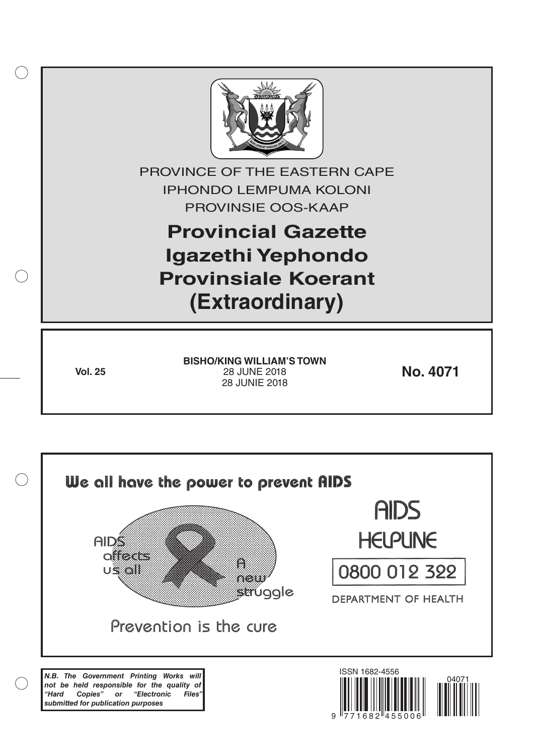

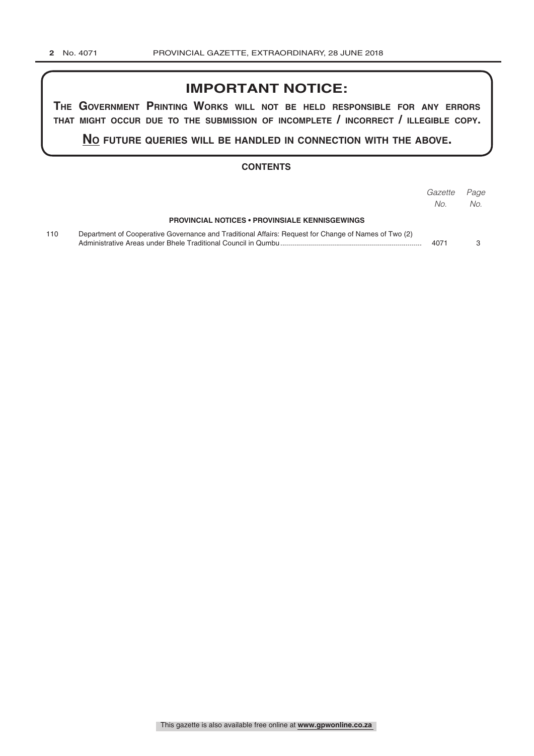## **IMPORTANT NOTICE:**

**The GovernmenT PrinTinG Works Will noT be held resPonsible for any errors ThaT miGhT occur due To The submission of incomPleTe / incorrecT / illeGible coPy.**

**no fuTure queries Will be handled in connecTion WiTh The above.**

#### **CONTENTS**

|     |                                                                                                      | Gazette<br>No. | Page<br>No. |
|-----|------------------------------------------------------------------------------------------------------|----------------|-------------|
|     | <b>PROVINCIAL NOTICES • PROVINSIALE KENNISGEWINGS</b>                                                |                |             |
| 110 | Department of Cooperative Governance and Traditional Affairs: Request for Change of Names of Two (2) | 4071           |             |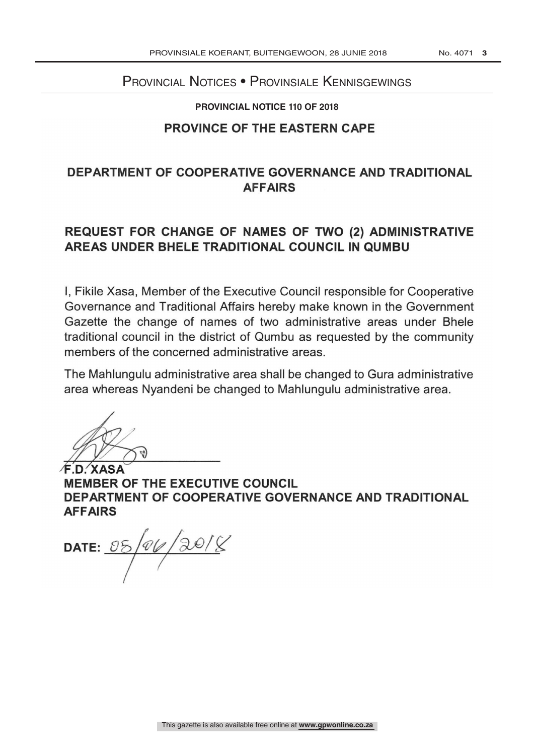# PROVINCIAL NOTICE Provincial Notices • Provinsiale Kennisgewings

### **PROVINCIAL NOTICE 110 OF 2018**

### PROVINCE OF THE EASTERN CAPE

### DEPARTMENT OF COOPERATIVE GOVERNANCE AND TRADITIONAL AFFAIRS

### REQUEST FOR CHANGE OF NAMES OF TWO (2) ADMINISTRATIVE AREAS UNDER BHELE TRADITIONAL COUNCIL IN QUMBU

I, Fikile Xasa, Member of the Executive Council responsible for Cooperative Governance and Traditional Affairs hereby make known in the Government Gazette the change of names of two administrative areas under Bhele traditional council in the district of Qumbu as requested by the community members of the concerned administrative areas.

The Mahlungulu administrative area shall be changed to Gura administrative area whereas Nyandeni be changed to Mahlungulu administrative area.

T.D. XASA MEMBER OF THE EXECUTIVE COUNCIL DEPARTMENT OF COOPERATIVE GOVERNANCE AND TRADITIONAL AFFAIRS

 $\frac{18}{96}$